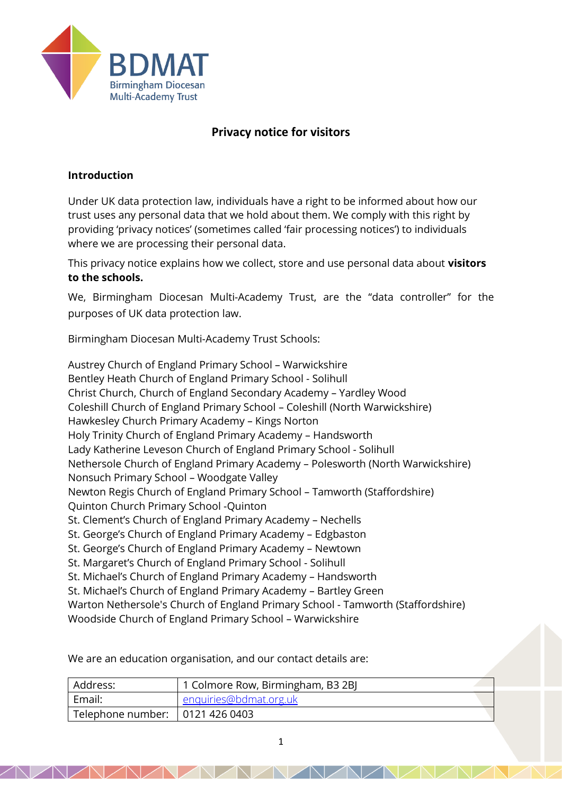

# **Privacy notice for visitors**

### **Introduction**

Under UK data protection law, individuals have a right to be informed about how our trust uses any personal data that we hold about them. We comply with this right by providing 'privacy notices' (sometimes called 'fair processing notices') to individuals where we are processing their personal data.

This privacy notice explains how we collect, store and use personal data about **visitors to the schools.**

We, Birmingham Diocesan Multi-Academy Trust, are the "data controller" for the purposes of UK data protection law.

Birmingham Diocesan Multi-Academy Trust Schools:

Austrey Church of England Primary School – Warwickshire Bentley Heath Church of England Primary School - Solihull Christ Church, Church of England Secondary Academy – Yardley Wood Coleshill Church of England Primary School – Coleshill (North Warwickshire) Hawkesley Church Primary Academy – Kings Norton Holy Trinity Church of England Primary Academy – Handsworth Lady Katherine Leveson Church of England Primary School - Solihull Nethersole Church of England Primary Academy – Polesworth (North Warwickshire) Nonsuch Primary School – Woodgate Valley Newton Regis Church of England Primary School – Tamworth (Staffordshire) Quinton Church Primary School -Quinton St. Clement's Church of England Primary Academy – Nechells St. George's Church of England Primary Academy – Edgbaston St. George's Church of England Primary Academy – Newtown St. Margaret's Church of England Primary School - Solihull St. Michael's Church of England Primary Academy – Handsworth St. Michael's Church of England Primary Academy – Bartley Green Warton Nethersole's Church of England Primary School - Tamworth (Staffordshire) Woodside Church of England Primary School – Warwickshire

We are an education organisation, and our contact details are:

| Address:                          | 1 Colmore Row, Birmingham, B3 2BJ |
|-----------------------------------|-----------------------------------|
| Email:                            | enquiries@bdmat.org.uk            |
| Telephone number:   0121 426 0403 |                                   |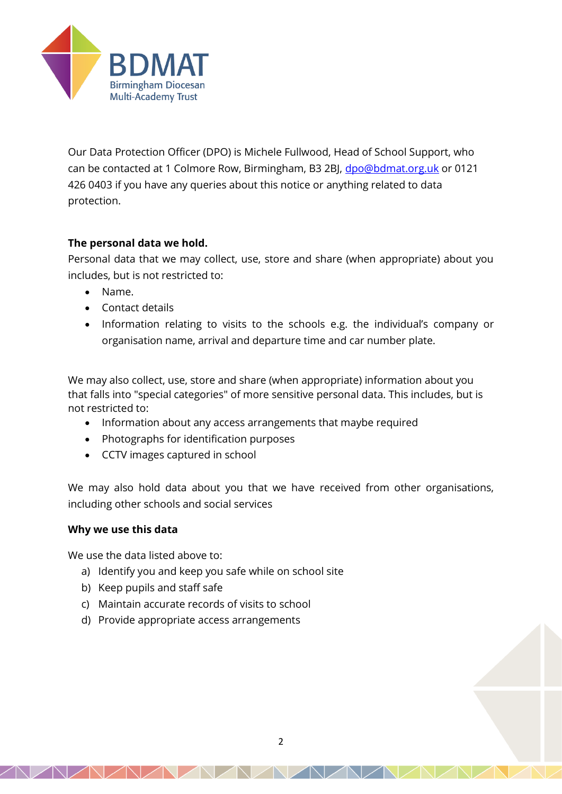

Our Data Protection Officer (DPO) is Michele Fullwood, Head of School Support, who can be contacted at 1 Colmore Row, Birmingham, B3 2BJ, [dpo@bdmat.org.uk](mailto:dpo@bdmat.org.uk) or 0121 426 0403 if you have any queries about this notice or anything related to data protection.

# **The personal data we hold.**

Personal data that we may collect, use, store and share (when appropriate) about you includes, but is not restricted to:

- Name.
- Contact details
- Information relating to visits to the schools e.g. the individual's company or organisation name, arrival and departure time and car number plate.

We may also collect, use, store and share (when appropriate) information about you that falls into "special categories" of more sensitive personal data. This includes, but is not restricted to:

- Information about any access arrangements that maybe required
- Photographs for identification purposes
- CCTV images captured in school

We may also hold data about you that we have received from other organisations, including other schools and social services

### **Why we use this data**

We use the data listed above to:

- a) Identify you and keep you safe while on school site
- b) Keep pupils and staff safe
- c) Maintain accurate records of visits to school
- d) Provide appropriate access arrangements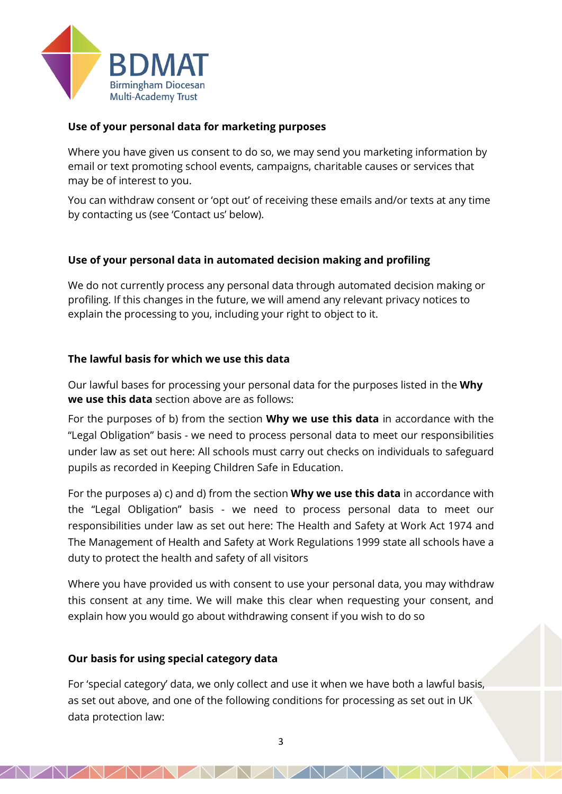

# **Use of your personal data for marketing purposes**

Where you have given us consent to do so, we may send you marketing information by email or text promoting school events, campaigns, charitable causes or services that may be of interest to you.

You can withdraw consent or 'opt out' of receiving these emails and/or texts at any time by contacting us (see 'Contact us' below).

# **Use of your personal data in automated decision making and profiling**

We do not currently process any personal data through automated decision making or profiling. If this changes in the future, we will amend any relevant privacy notices to explain the processing to you, including your right to object to it.

### **The lawful basis for which we use this data**

Our lawful bases for processing your personal data for the purposes listed in the **Why we use this data** section above are as follows:

For the purposes of b) from the section **Why we use this data** in accordance with the "Legal Obligation" basis - we need to process personal data to meet our responsibilities under law as set out here: All schools must carry out checks on individuals to safeguard pupils as recorded in Keeping Children Safe in Education.

For the purposes a) c) and d) from the section **Why we use this data** in accordance with the "Legal Obligation" basis - we need to process personal data to meet our responsibilities under law as set out here: The Health and Safety at Work Act 1974 and The Management of Health and Safety at Work Regulations 1999 state all schools have a duty to protect the health and safety of all visitors

Where you have provided us with consent to use your personal data, you may withdraw this consent at any time. We will make this clear when requesting your consent, and explain how you would go about withdrawing consent if you wish to do so

### **Our basis for using special category data**

For 'special category' data, we only collect and use it when we have both a lawful basis, as set out above, and one of the following conditions for processing as set out in UK data protection law: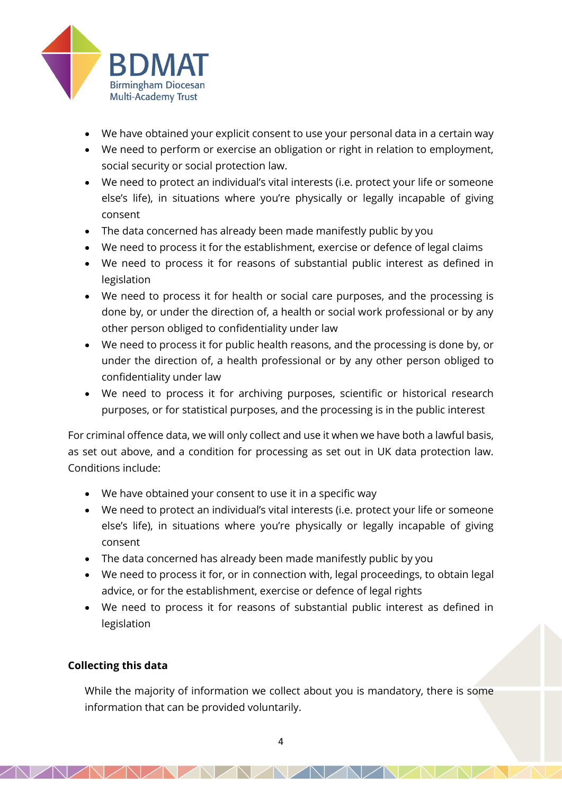

- We have obtained your explicit consent to use your personal data in a certain way
- We need to perform or exercise an obligation or right in relation to employment, social security or social protection law.
- We need to protect an individual's vital interests (i.e. protect your life or someone else's life), in situations where you're physically or legally incapable of giving consent
- The data concerned has already been made manifestly public by you
- We need to process it for the establishment, exercise or defence of legal claims
- We need to process it for reasons of substantial public interest as defined in legislation
- We need to process it for health or social care purposes, and the processing is done by, or under the direction of, a health or social work professional or by any other person obliged to confidentiality under law
- We need to process it for public health reasons, and the processing is done by, or under the direction of, a health professional or by any other person obliged to confidentiality under law
- We need to process it for archiving purposes, scientific or historical research purposes, or for statistical purposes, and the processing is in the public interest

For criminal offence data, we will only collect and use it when we have both a lawful basis, as set out above, and a condition for processing as set out in UK data protection law. Conditions include:

- We have obtained your consent to use it in a specific way
- We need to protect an individual's vital interests (i.e. protect your life or someone else's life), in situations where you're physically or legally incapable of giving consent
- The data concerned has already been made manifestly public by you
- We need to process it for, or in connection with, legal proceedings, to obtain legal advice, or for the establishment, exercise or defence of legal rights
- We need to process it for reasons of substantial public interest as defined in legislation

# **Collecting this data**

While the majority of information we collect about you is mandatory, there is some information that can be provided voluntarily.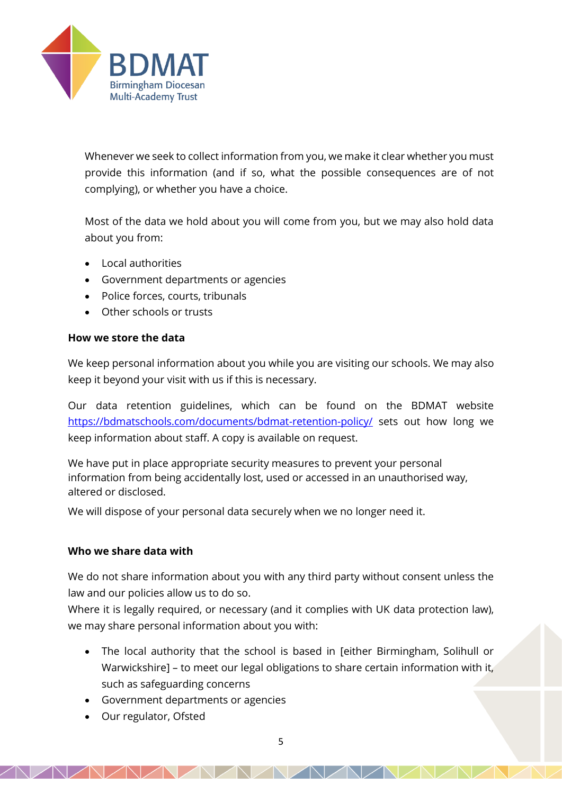

Whenever we seek to collect information from you, we make it clear whether you must provide this information (and if so, what the possible consequences are of not complying), or whether you have a choice.

Most of the data we hold about you will come from you, but we may also hold data about you from:

- Local authorities
- Government departments or agencies
- Police forces, courts, tribunals
- Other schools or trusts

#### **How we store the data**

We keep personal information about you while you are visiting our schools. We may also keep it beyond your visit with us if this is necessary.

Our data retention guidelines, which can be found on the BDMAT website <https://bdmatschools.com/documents/bdmat-retention-policy/> sets out how long we keep information about staff. A copy is available on request.

We have put in place appropriate security measures to prevent your personal information from being accidentally lost, used or accessed in an unauthorised way, altered or disclosed.

We will dispose of your personal data securely when we no longer need it.

### **Who we share data with**

We do not share information about you with any third party without consent unless the law and our policies allow us to do so.

Where it is legally required, or necessary (and it complies with UK data protection law), we may share personal information about you with:

- The local authority that the school is based in [either Birmingham, Solihull or Warwickshire] – to meet our legal obligations to share certain information with it, such as safeguarding concerns
- Government departments or agencies
- Our regulator, Ofsted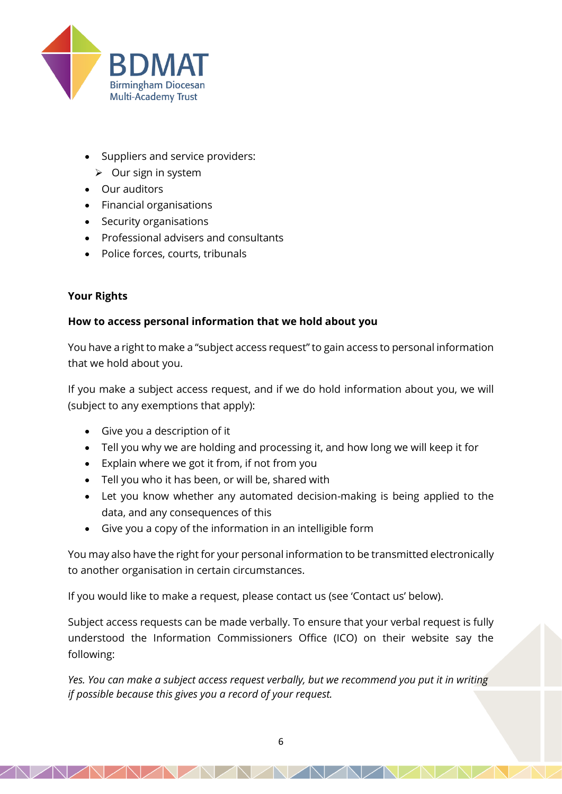

- Suppliers and service providers:
	- ➢ Our sign in system
- Our auditors
- Financial organisations
- Security organisations
- Professional advisers and consultants
- Police forces, courts, tribunals

# **Your Rights**

# **How to access personal information that we hold about you**

You have a right to make a "subject access request" to gain access to personal information that we hold about you.

If you make a subject access request, and if we do hold information about you, we will (subject to any exemptions that apply):

- Give you a description of it
- Tell you why we are holding and processing it, and how long we will keep it for
- Explain where we got it from, if not from you
- Tell you who it has been, or will be, shared with
- Let you know whether any automated decision-making is being applied to the data, and any consequences of this
- Give you a copy of the information in an intelligible form

You may also have the right for your personal information to be transmitted electronically to another organisation in certain circumstances.

If you would like to make a request, please contact us (see 'Contact us' below).

Subject access requests can be made verbally. To ensure that your verbal request is fully understood the Information Commissioners Office (ICO) on their website say the following:

*Yes. You can make a subject access request verbally, but we recommend you put it in writing if possible because this gives you a record of your request.*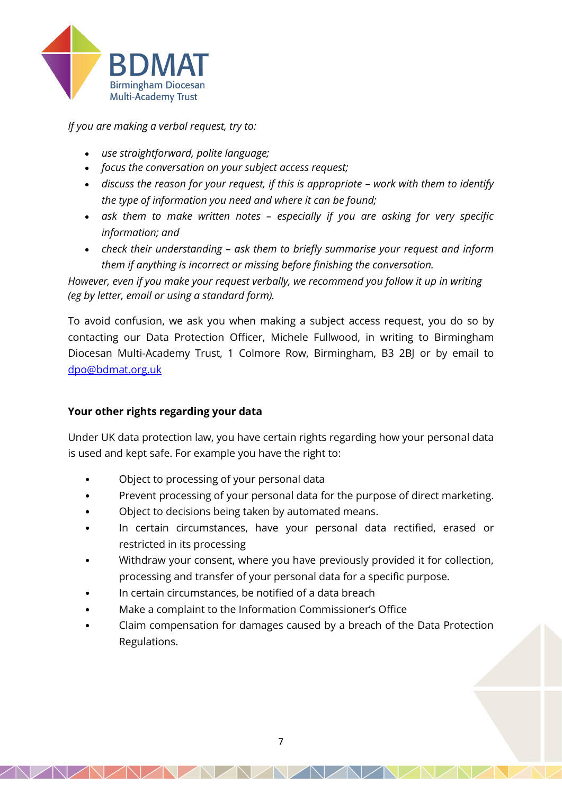

*If you are making a verbal request, try to:*

- *use straightforward, polite language;*
- *focus the conversation on your subject access request;*
- discuss the reason for your request, if this is appropriate work with them to identify *the type of information you need and where it can be found;*
- *ask them to make written notes – especially if you are asking for very specific information; and*
- *check their understanding – ask them to briefly summarise your request and inform them if anything is incorrect or missing before finishing the conversation.*

*However, even if you make your request verbally, we recommend you follow it up in writing (eg by letter, email or using a standard form).*

To avoid confusion, we ask you when making a subject access request, you do so by contacting our Data Protection Officer, Michele Fullwood, in writing to Birmingham Diocesan Multi-Academy Trust, 1 Colmore Row, Birmingham, B3 2BJ or by email to [dpo@bdmat.org.uk](mailto:dpo@bdmat.org.uk)

# **Your other rights regarding your data**

Under UK data protection law, you have certain rights regarding how your personal data is used and kept safe. For example you have the right to:

- Object to processing of your personal data
- Prevent processing of your personal data for the purpose of direct marketing.
- Object to decisions being taken by automated means.
- In certain circumstances, have your personal data rectified, erased or restricted in its processing
- Withdraw your consent, where you have previously provided it for collection, processing and transfer of your personal data for a specific purpose.
- In certain circumstances, be notified of a data breach
- Make a complaint to the Information Commissioner's Office
- Claim compensation for damages caused by a breach of the Data Protection Regulations.